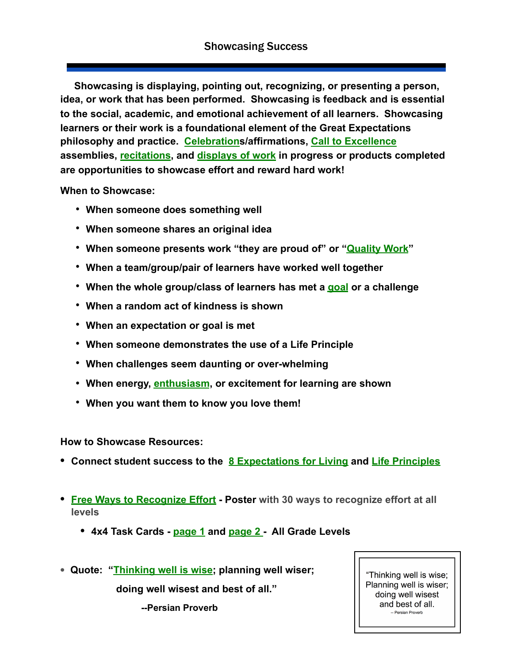**Showcasing is displaying, pointing out, recognizing, or presenting a person, idea, or work that has been performed. Showcasing is feedback and is essential to the social, academic, and emotional achievement of all learners. Showcasing learners or their work is a foundational element of the Great Expectations philosophy and practice. [Celebration](http://www.greatexpectations.org/Websites/greatexpectations/images/pdf/exp1/Celebration%20Resource.pdf)s/affirmations, [Call to Excellence](http://www.greatexpectations.org/rise-and-shine-ideas) assemblies, [recitations](http://www.greatexpectations.org/practice-seven), and [displays of work](https://drive.google.com/open?id=12JJH_kzQ9XXlOYaEs86RL0NCyQff7bo8-WI6ZGdJOkk) in progress or products completed are opportunities to showcase effort and reward hard work!** 

**When to Showcase:** 

- • **When someone does something well**
- • **When someone shares an original idea**
- • **When someone presents work "they are proud of" or ["Quality Work](https://drive.google.com/open?id=1k_TDd3tgu2SwLVL3we9xNKcYputQlZ9Y)"**
- • **When a team/group/pair of learners have worked well together**
- • **When the whole group/class of learners has met a [goal](http://www.greatexpectations.org/wp-content/uploads/pdf/practice6/Goal%20setting%20EX%20Master%20w%20Crossroads%20emoji.pdf) or a challenge**
- • **When a random act of kindness is shown**
- • **When an expectation or goal is met**
- • **When someone demonstrates the use of a Life Principle**
- • **When challenges seem daunting or over-whelming**
- • **When energy, [enthusiasm](http://www.greatexpectations.org/resources/practices/practice-one/enthusiasm/), or excitement for learning are shown**
- • **When you want them to know you love them!**

**How to Showcase Resources:** 

- **• Connect student success to the [8 Expectations for Living](http://www.greatexpectations.org/expectations) and [Life Principles](http://www.greatexpectations.org/resources/life-principles/)**
- **• [Free Ways to Recognize Effort](http://www.greatexpectations.org/Websites/greatexpectations/images/pdf/practice3/Free%20Ways%20to%20Recognize%20Effort.pdf)  Poster with 30 ways to recognize effort at all levels**
	- **• 4x4 Task Cards [page 1](http://www.greatexpectations.org/Websites/greatexpectations/images/pdf/practice3/4x4%20Free%20Ways%20to%20Recognize%20Effort%20p1.pdf) and [page 2](http://www.greatexpectations.org/Websites/greatexpectations/images/pdf/practice3/4x4%20Free%20Ways%20to%20recognize%20p2%20.pdf)  All Grade Levels**
- **• Quote: ["Thinking well is wise](http://www.greatexpectations.org/Websites/greatexpectations/images/pdf/lp/effort/Thinking%20well%20is%20wise%20quote.pdf); planning well wiser;**

 **doing well wisest and best of all."** 

 **--Persian Proverb** 

"Thinking well is wise; Planning well is wiser; doing well wisest and best of all. - Persian Proverb